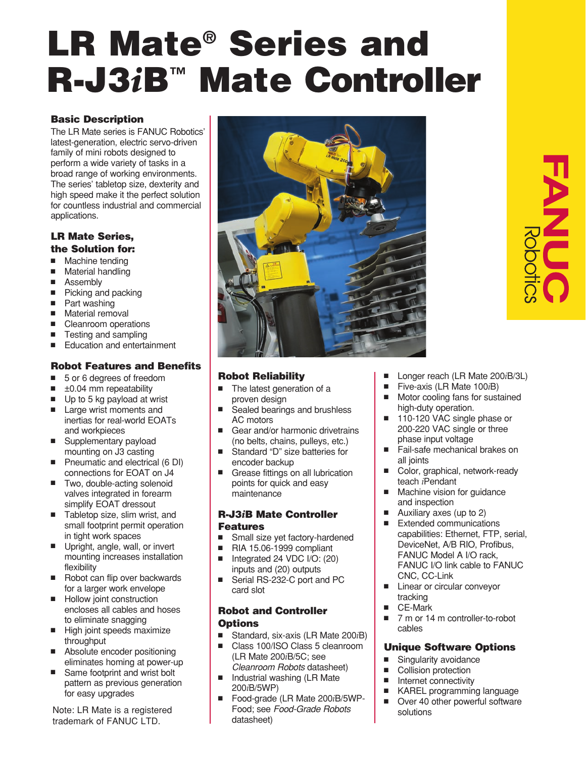# **LR Mate® Series and R-J3***i***B™ Mate Controller**

#### **Basic Description**

The LR Mate series is FANUC Robotics' latest-generation, electric servo-driven family of mini robots designed to perform a wide variety of tasks in a broad range of working environments. The series' tabletop size, dexterity and high speed make it the perfect solution for countless industrial and commercial applications.

#### **LR Mate Series, the Solution for:**

- Machine tending
- Material handling
- Assemblv
- Picking and packing
- Part washing
- Material removal
- Cleanroom operations
- Testing and sampling
- Education and entertainment

#### **Robot Features and Benefits**

- 5 or 6 degrees of freedom
- $\blacksquare$   $\pm$ 0.04 mm repeatability
- Up to 5 kg payload at wrist
- Large wrist moments and inertias for real-world EOATs and workpieces
- Supplementary payload mounting on J3 casting
- Pneumatic and electrical (6 DI) connections for EOAT on J4
- Two, double-acting solenoid valves integrated in forearm simplify EOAT dressout
- Tabletop size, slim wrist, and small footprint permit operation in tight work spaces
- Upright, angle, wall, or invert mounting increases installation flexibility
- Robot can flip over backwards for a larger work envelope
- Hollow joint construction encloses all cables and hoses to eliminate snagging
- High joint speeds maximize throughput
- Absolute encoder positioning eliminates homing at power-up
- Same footprint and wrist bolt pattern as previous generation for easy upgrades

Note: LR Mate is a registered trademark of FANUC LTD.



## **Robot Reliability**

- The latest generation of a proven design
- Sealed bearings and brushless AC motors
- Gear and/or harmonic drivetrains (no belts, chains, pulleys, etc.)
- Standard "D" size batteries for encoder backup
- Grease fittings on all lubrication points for quick and easy maintenance

#### **R-J3***i***B Mate Controller Features**

- Small size yet factory-hardened
- RIA 15.06-1999 compliant Integrated 24 VDC I/O: (20)
- inputs and (20) outputs
- Serial RS-232-C port and PC card slot

#### **Robot and Controller Options**

- Standard, six-axis (LR Mate 200*i*B)<br>■ Class 100/ISO Class 5 cleanroom
- Class 100/ISO Class 5 cleanroom (LR Mate 200*i*B/5C; see Cleanroom Robots datasheet)
- Industrial washing (LR Mate 200*i*B/5WP)
- Food-grade (LR Mate 200*i*B/5WP-Food; see Food-Grade Robots datasheet)
- Longer reach (LR Mate 200*i*B/3L)
- Five-axis (LR Mate 100*i*B)
- Motor cooling fans for sustained high-duty operation.
- 110-120 VAC single phase or 200-220 VAC single or three phase input voltage
- Fail-safe mechanical brakes on all joints
- Color, graphical, network-ready teach *i*Pendant
- Machine vision for guidance and inspection
- Auxiliary axes (up to 2)
- Extended communications capabilities: Ethernet, FTP, serial, DeviceNet, A/B RIO, Profibus, FANUC Model A I/O rack, FANUC I/O link cable to FANUC CNC, CC-Link
- Linear or circular conveyor tracking
- CE-Mark
- 7 m or 14 m controller-to-robot cables

#### **Unique Software Options**

- Singularity avoidance<br>■ Collision protection
- Collision protection<br>■ Internet connectivity
- Internet connectivity
- KAREL programming language
- Over 40 other powerful software solutions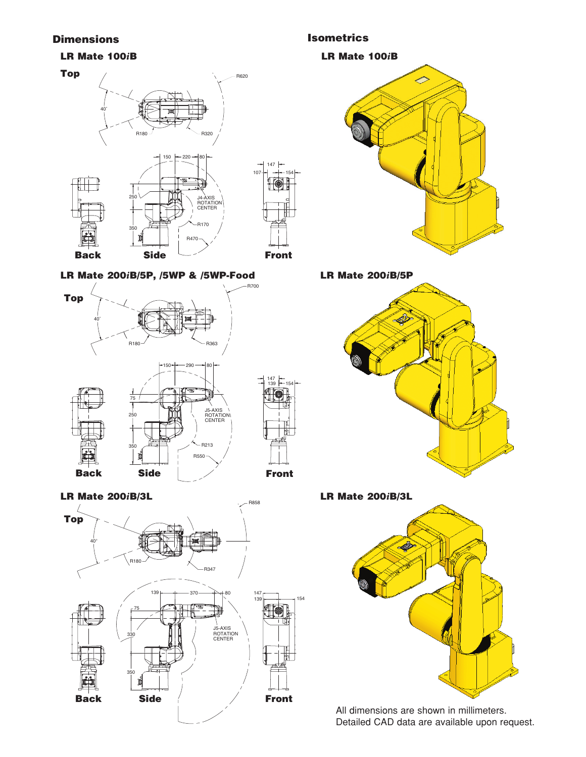#### **Dimensions Isometrics**

#### **LR Mate 100***i***B**



#### **LR Mate 200***i***B/5P, /5WP & /5WP-Food**



**LR Mate 200***i***B/3L**



**LR Mate 100***i***B** 



**LR Mate 200***i***B/5P**



**LR Mate 200***i***B/3L**

154



All dimensions are shown in millimeters. Detailed CAD data are available upon request.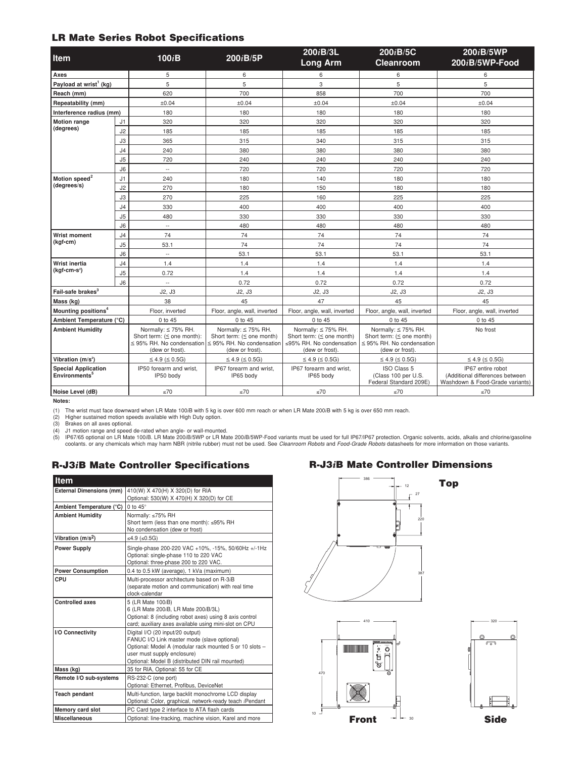#### **LR Mate Series Robot Specifications**

| Item                                                    |                | 100iB                                                                                                       | 200iB/5P                                                                                                        | 200iB/3L<br><b>Long Arm</b>                                                                          | 200iB/5C<br><b>Cleanroom</b>                                                                                    | 200iB/5WP<br>$200iB/5WP$ -Food                                                          |
|---------------------------------------------------------|----------------|-------------------------------------------------------------------------------------------------------------|-----------------------------------------------------------------------------------------------------------------|------------------------------------------------------------------------------------------------------|-----------------------------------------------------------------------------------------------------------------|-----------------------------------------------------------------------------------------|
| Axes                                                    |                | 5                                                                                                           | 6                                                                                                               | 6                                                                                                    | 6                                                                                                               | 6                                                                                       |
| Payload at wrist <sup>1</sup> (kg)                      |                | 5                                                                                                           | 5                                                                                                               | 3                                                                                                    | 5                                                                                                               | 5                                                                                       |
| Reach (mm)                                              |                | 620                                                                                                         | 700                                                                                                             | 858                                                                                                  | 700                                                                                                             | 700                                                                                     |
| Repeatability (mm)                                      |                | ±0.04                                                                                                       | ±0.04                                                                                                           | ±0.04                                                                                                | ±0.04                                                                                                           | ±0.04                                                                                   |
| Interference radius (mm)                                |                | 180                                                                                                         | 180                                                                                                             | 180                                                                                                  | 180                                                                                                             | 180                                                                                     |
| <b>Motion range</b><br>(degrees)                        | J1             | 320                                                                                                         | 320                                                                                                             | 320                                                                                                  | 320                                                                                                             | 320                                                                                     |
|                                                         | J2             | 185                                                                                                         | 185                                                                                                             | 185                                                                                                  | 185                                                                                                             | 185                                                                                     |
|                                                         | J3             | 365                                                                                                         | 315                                                                                                             | 340                                                                                                  | 315                                                                                                             | 315                                                                                     |
|                                                         | J <sub>4</sub> | 240                                                                                                         | 380                                                                                                             | 380                                                                                                  | 380                                                                                                             | 380                                                                                     |
|                                                         | J <sub>5</sub> | 720                                                                                                         | 240                                                                                                             | 240                                                                                                  | 240                                                                                                             | 240                                                                                     |
|                                                         | J <sub>6</sub> | $\overline{\phantom{a}}$                                                                                    | 720                                                                                                             | 720                                                                                                  | 720                                                                                                             | 720                                                                                     |
| Motion speed <sup>2</sup><br>(degrees/s)                | J1             | 240                                                                                                         | 180                                                                                                             | 140                                                                                                  | 180                                                                                                             | 180                                                                                     |
|                                                         | J2             | 270                                                                                                         | 180                                                                                                             | 150                                                                                                  | 180                                                                                                             | 180                                                                                     |
|                                                         | J3             | 270                                                                                                         | 225                                                                                                             | 160                                                                                                  | 225                                                                                                             | 225                                                                                     |
|                                                         | J <sub>4</sub> | 330                                                                                                         | 400                                                                                                             | 400                                                                                                  | 400                                                                                                             | 400                                                                                     |
|                                                         | J <sub>5</sub> | 480                                                                                                         | 330                                                                                                             | 330                                                                                                  | 330                                                                                                             | 330                                                                                     |
|                                                         | J6             | $\overline{\phantom{a}}$                                                                                    | 480                                                                                                             | 480                                                                                                  | 480                                                                                                             | 480                                                                                     |
| <b>Wrist moment</b><br>(kgf-cm)                         | J <sub>4</sub> | 74                                                                                                          | 74                                                                                                              | 74                                                                                                   | 74                                                                                                              | 74                                                                                      |
|                                                         | J5             | 53.1                                                                                                        | 74                                                                                                              | 74                                                                                                   | 74                                                                                                              | 74                                                                                      |
|                                                         | J6             | u.                                                                                                          | 53.1                                                                                                            | 53.1                                                                                                 | 53.1                                                                                                            | 53.1                                                                                    |
| Wrist inertia<br>$(kqf\cdot cm\cdot s^2)$               | J <sub>4</sub> | 1.4                                                                                                         | 1.4                                                                                                             | 1.4                                                                                                  | 1.4                                                                                                             | 1.4                                                                                     |
|                                                         | J <sub>5</sub> | 0.72                                                                                                        | 1.4                                                                                                             | 1.4                                                                                                  | 1.4                                                                                                             | 1.4                                                                                     |
|                                                         | J6             | $\mathbf{u}$                                                                                                | 0.72                                                                                                            | 0.72                                                                                                 | 0.72                                                                                                            | 0.72                                                                                    |
| Fail-safe brakes <sup>3</sup>                           |                | J2, J3                                                                                                      | J2, J3                                                                                                          | J2, J3                                                                                               | J2, J3                                                                                                          | J2, J3                                                                                  |
| Mass (kg)                                               |                | 38                                                                                                          | 45                                                                                                              | 47                                                                                                   | 45                                                                                                              | 45                                                                                      |
| Mounting positions <sup>4</sup>                         |                | Floor, inverted                                                                                             | Floor, angle, wall, inverted                                                                                    | Floor, angle, wall, inverted                                                                         | Floor, angle, wall, inverted                                                                                    | Floor, angle, wall, inverted                                                            |
| Ambient Temperature (°C)                                |                | 0 to 45                                                                                                     | 0 to 45                                                                                                         | 0 to 45                                                                                              | 0 to 45                                                                                                         | 0 to 45                                                                                 |
| <b>Ambient Humidity</b>                                 |                | Normally: $\leq$ 75% RH.<br>Short term: $( \le$ one month):<br>≤ 95% RH. No condensation<br>(dew or frost). | Normally: $\leq$ 75% RH.<br>Short term: $( \le$ one month)<br>$\leq$ 95% RH. No condensation<br>(dew or frost). | Normally: ≤ 75% RH.<br>Short term: $( \le$ one month)<br>≤95% RH. No condensation<br>(dew or frost). | Normally: $\leq$ 75% RH.<br>Short term: $( \le$ one month)<br>$\leq$ 95% RH. No condensation<br>(dew or frost). | No frost                                                                                |
| Vibration (m/s <sup>2</sup> )                           |                | $\leq 4.9$ ( $\leq 0.5$ G)                                                                                  | $\leq 4.9$ ( $\leq 0.5$ G)                                                                                      | $\leq 4.9$ ( $\leq 0.5$ G)                                                                           | $\leq 4.9$ ( $\leq 0.5G$ )                                                                                      | $\leq 4.9 \leq 0.5G$                                                                    |
| <b>Special Application</b><br>Environments <sup>5</sup> |                | IP50 forearm and wrist.<br>IP50 body                                                                        | IP67 forearm and wrist.<br>IP65 body                                                                            | IP67 forearm and wrist.<br>IP65 body                                                                 | <b>ISO Class 5</b><br>(Class 100 per U.S.<br>Federal Standard 209E)                                             | IP67 entire robot<br>(Additional differences between<br>Washdown & Food-Grade variants) |
| Noise Level (dB)                                        |                | ≤70                                                                                                         | ≤70                                                                                                             | ≤70                                                                                                  | ≤70                                                                                                             | ≤70                                                                                     |

#### **Notes:**

(1) The wrist must face downward when LR Mate 100*i*B with 5 kg is over 600 mm reach or when LR Mate 200*i*B with 5 kg is over 650 mm reach.

(2) Higher sustained motion speeds available with High Duty option.<br>(3) Brakes on all axes optional.<br>(4) J1 motion range and speed de-rated when angle- or wall-mounted.<br>(5) IP67/65 optional on LR Mate 100iB. LR Mate 200iB/

#### **R-J3***i***B Mate Controller Specifications**

| <b>Item</b>                     |                                                                                                                                       |  |  |
|---------------------------------|---------------------------------------------------------------------------------------------------------------------------------------|--|--|
| <b>External Dimensions (mm)</b> | 410(W) X 470(H) X 320(D) for RIA                                                                                                      |  |  |
|                                 | Optional: 530(W) X 470(H) X 320(D) for CE                                                                                             |  |  |
| Ambient Temperature (°C)        | 0 to $45^\circ$                                                                                                                       |  |  |
| <b>Ambient Humidity</b>         | Normally: ≤75% RH                                                                                                                     |  |  |
|                                 | Short term (less than one month): ≤95% RH                                                                                             |  |  |
|                                 | No condensation (dew or frost)                                                                                                        |  |  |
| Vibration $(m/s2)$              | ≤4.9 (≤0.5G)                                                                                                                          |  |  |
| <b>Power Supply</b>             | Single-phase 200-220 VAC +10%, -15%, 50/60Hz +/-1Hz<br>Optional: single-phase 110 to 220 VAC<br>Optional: three-phase 200 to 220 VAC. |  |  |
| <b>Power Consumption</b>        | 0.4 to 0.5 kW (average), 1 kVa (maximum)                                                                                              |  |  |
| CPU                             | Multi-processor architecture based on R-3iB                                                                                           |  |  |
|                                 | (separate motion and communication) with real time                                                                                    |  |  |
|                                 | clock-calendar                                                                                                                        |  |  |
| <b>Controlled axes</b>          | 5 (LR Mate 100iB)                                                                                                                     |  |  |
|                                 | 6 (LR Mate 200iB, LR Mate 200iB/3L)                                                                                                   |  |  |
|                                 | Optional: 8 (including robot axes) using 8 axis control<br>card; auxiliary axes available using mini-slot on CPU                      |  |  |
| I/O Connectivity                | Digital I/O (20 input/20 output)                                                                                                      |  |  |
|                                 | FANUC I/O Link master mode (slave optional)                                                                                           |  |  |
|                                 | Optional: Model A (modular rack mounted 5 or 10 slots -                                                                               |  |  |
|                                 | user must supply enclosure)                                                                                                           |  |  |
|                                 | Optional: Model B (distributed DIN rail mounted)                                                                                      |  |  |
| Mass (kg)                       | 35 for RIA, Optional: 55 for CE                                                                                                       |  |  |
| Remote I/O sub-systems          | RS-232-C (one port)                                                                                                                   |  |  |
|                                 | Optional: Ethernet, Profibus, DeviceNet                                                                                               |  |  |
| <b>Teach pendant</b>            | Multi-function, large backlit monochrome LCD display                                                                                  |  |  |
|                                 | Optional: Color, graphical, network-ready teach iPendant                                                                              |  |  |
| Memory card slot                | PC Card type 2 interface to ATA flash cards                                                                                           |  |  |
| <b>Miscellaneous</b>            | Optional: line-tracking, machine vision, Karel and more                                                                               |  |  |

#### **R-J3***i***B Mate Controller Dimensions**

**Top**